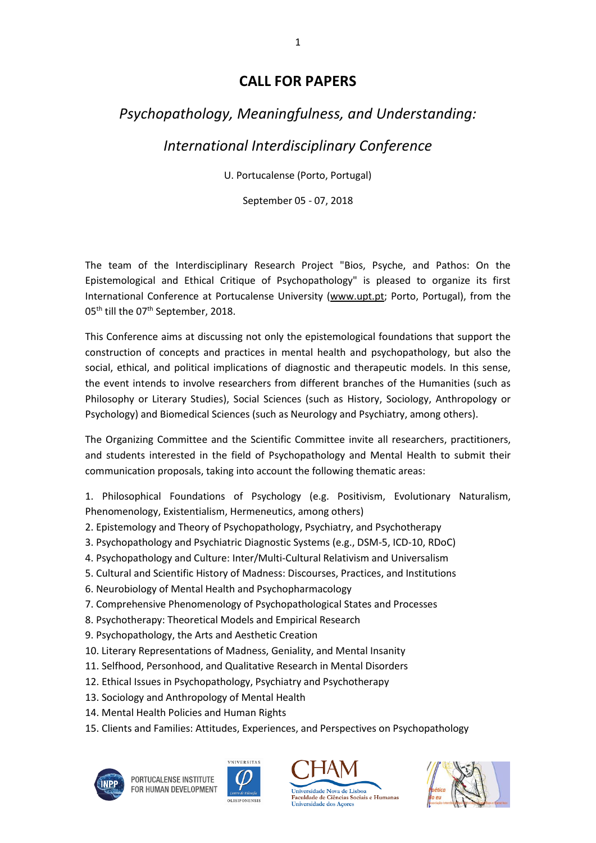# **CALL FOR PAPERS**

# *Psychopathology, Meaningfulness, and Understanding:*

*International Interdisciplinary Conference*

U. Portucalense (Porto, Portugal)

September 05 - 07, 2018

The team of the Interdisciplinary Research Project "Bios, Psyche, and Pathos: On the Epistemological and Ethical Critique of Psychopathology" is pleased to organize its first International Conference at Portucalense University [\(www.upt.pt;](http://www.upt.pt/) Porto, Portugal), from the 05<sup>th</sup> till the 07<sup>th</sup> September, 2018.

This Conference aims at discussing not only the epistemological foundations that support the construction of concepts and practices in mental health and psychopathology, but also the social, ethical, and political implications of diagnostic and therapeutic models. In this sense, the event intends to involve researchers from different branches of the Humanities (such as Philosophy or Literary Studies), Social Sciences (such as History, Sociology, Anthropology or Psychology) and Biomedical Sciences (such as Neurology and Psychiatry, among others).

The Organizing Committee and the Scientific Committee invite all researchers, practitioners, and students interested in the field of Psychopathology and Mental Health to submit their communication proposals, taking into account the following thematic areas:

1. Philosophical Foundations of Psychology (e.g. Positivism, Evolutionary Naturalism, Phenomenology, Existentialism, Hermeneutics, among others)

- 2. Epistemology and Theory of Psychopathology, Psychiatry, and Psychotherapy
- 3. Psychopathology and Psychiatric Diagnostic Systems (e.g., DSM-5, ICD-10, RDoC)
- 4. Psychopathology and Culture: Inter/Multi-Cultural Relativism and Universalism
- 5. Cultural and Scientific History of Madness: Discourses, Practices, and Institutions
- 6. Neurobiology of Mental Health and Psychopharmacology
- 7. Comprehensive Phenomenology of Psychopathological States and Processes
- 8. Psychotherapy: Theoretical Models and Empirical Research
- 9. Psychopathology, the Arts and Aesthetic Creation
- 10. Literary Representations of Madness, Geniality, and Mental Insanity
- 11. Selfhood, Personhood, and Qualitative Research in Mental Disorders
- 12. Ethical Issues in Psychopathology, Psychiatry and Psychotherapy
- 13. Sociology and Anthropology of Mental Health
- 14. Mental Health Policies and Human Rights
- 15. Clients and Families: Attitudes, Experiences, and Perspectives on Psychopathology



PORTUCALENSE INSTITUTE FOR HUMAN DEVELOPMENT





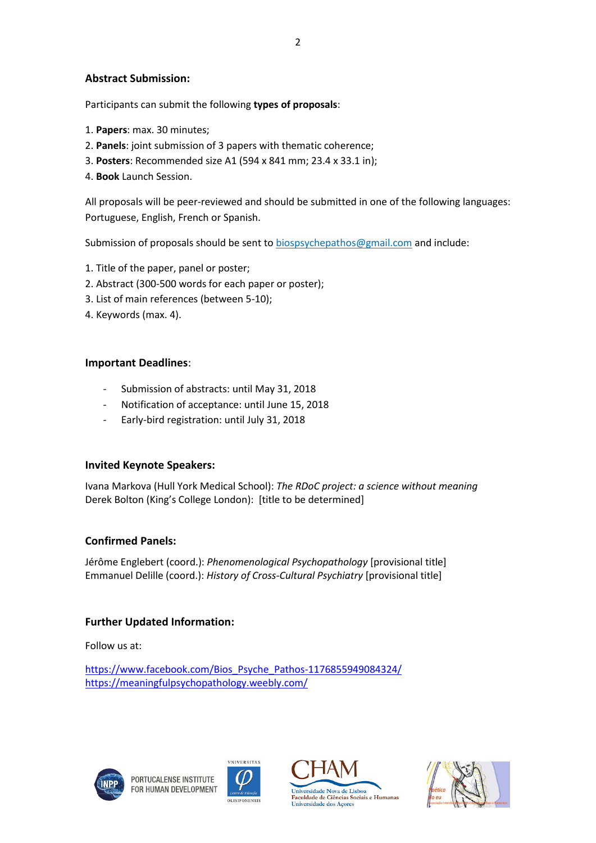#### **Abstract Submission:**

Participants can submit the following **types of proposals**:

- 1. **Papers**: max. 30 minutes;
- 2. **Panels**: joint submission of 3 papers with thematic coherence;
- 3. **Posters**: Recommended size A1 (594 x 841 mm; 23.4 x 33.1 in);
- 4. **Book** Launch Session.

All proposals will be peer-reviewed and should be submitted in one of the following languages: Portuguese, English, French or Spanish.

Submission of proposals should be sent t[o biospsychepathos@gmail.com](mailto:biospsychepathos@gmail.com) and include:

- 1. Title of the paper, panel or poster;
- 2. Abstract (300-500 words for each paper or poster);
- 3. List of main references (between 5-10);
- 4. Keywords (max. 4).

#### **Important Deadlines**:

- Submission of abstracts: until May 31, 2018
- Notification of acceptance: until June 15, 2018
- Early-bird registration: until July 31, 2018

#### **Invited Keynote Speakers:**

Ivana Markova (Hull York Medical School): *The RDoC project: a science without meaning* Derek Bolton (King's College London): [title to be determined]

#### **Confirmed Panels:**

Jérôme Englebert (coord.): *Phenomenological Psychopathology* [provisional title] Emmanuel Delille (coord.): *History of Cross-Cultural Psychiatry* [provisional title]

#### **Further Updated Information:**

Follow us at:

[https://www.facebook.com/Bios\\_Psyche\\_Pathos-1176855949084324/](https://www.facebook.com/Bios_Psyche_Pathos-1176855949084324/) <https://meaningfulpsychopathology.weebly.com/>







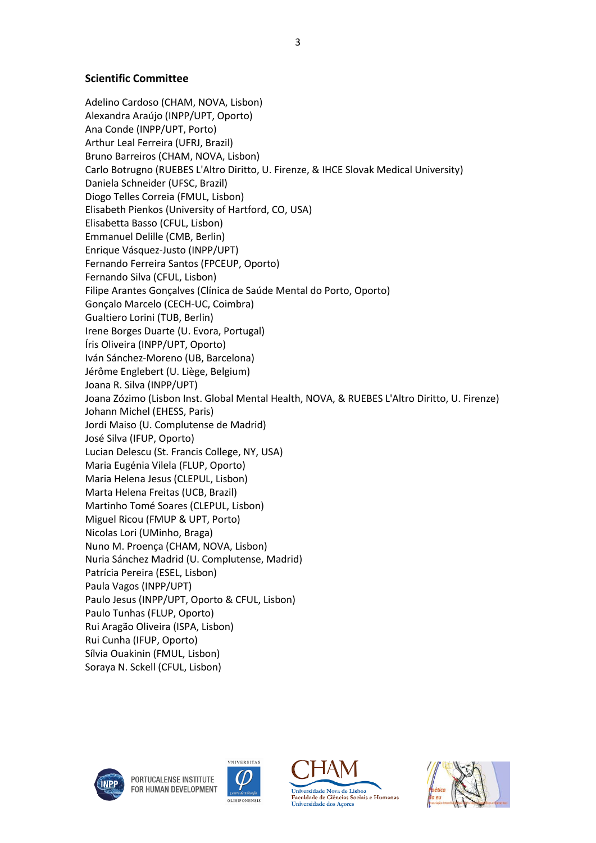#### **Scientific Committee**

Adelino Cardoso (CHAM, NOVA, Lisbon) Alexandra Araújo (INPP/UPT, Oporto) Ana Conde (INPP/UPT, Porto) Arthur Leal Ferreira (UFRJ, Brazil) Bruno Barreiros (CHAM, NOVA, Lisbon) Carlo Botrugno (RUEBES L'Altro Diritto, U. Firenze, & IHCE Slovak Medical University) Daniela Schneider (UFSC, Brazil) Diogo Telles Correia (FMUL, Lisbon) Elisabeth Pienkos (University of Hartford, CO, USA) Elisabetta Basso (CFUL, Lisbon) Emmanuel Delille (CMB, Berlin) Enrique Vásquez-Justo (INPP/UPT) Fernando Ferreira Santos (FPCEUP, Oporto) Fernando Silva (CFUL, Lisbon) Filipe Arantes Gonçalves (Clínica de Saúde Mental do Porto, Oporto) Gonçalo Marcelo (CECH-UC, Coimbra) Gualtiero Lorini (TUB, Berlin) Irene Borges Duarte (U. Evora, Portugal) Íris Oliveira (INPP/UPT, Oporto) Iván Sánchez-Moreno (UB, Barcelona) Jérôme Englebert (U. Liège, Belgium) Joana R. Silva (INPP/UPT) Joana Zózimo (Lisbon Inst. Global Mental Health, NOVA, & RUEBES L'Altro Diritto, U. Firenze) Johann Michel (EHESS, Paris) Jordi Maiso (U. Complutense de Madrid) José Silva (IFUP, Oporto) Lucian Delescu (St. Francis College, NY, USA) Maria Eugénia Vilela (FLUP, Oporto) Maria Helena Jesus (CLEPUL, Lisbon) Marta Helena Freitas (UCB, Brazil) Martinho Tomé Soares (CLEPUL, Lisbon) Miguel Ricou (FMUP & UPT, Porto) Nicolas Lori (UMinho, Braga) Nuno M. Proença (CHAM, NOVA, Lisbon) Nuria Sánchez Madrid (U. Complutense, Madrid) Patrícia Pereira (ESEL, Lisbon) Paula Vagos (INPP/UPT) Paulo Jesus (INPP/UPT, Oporto & CFUL, Lisbon) Paulo Tunhas (FLUP, Oporto) Rui Aragão Oliveira (ISPA, Lisbon) Rui Cunha (IFUP, Oporto) Sílvia Ouakinin (FMUL, Lisbon) Soraya N. Sckell (CFUL, Lisbon)